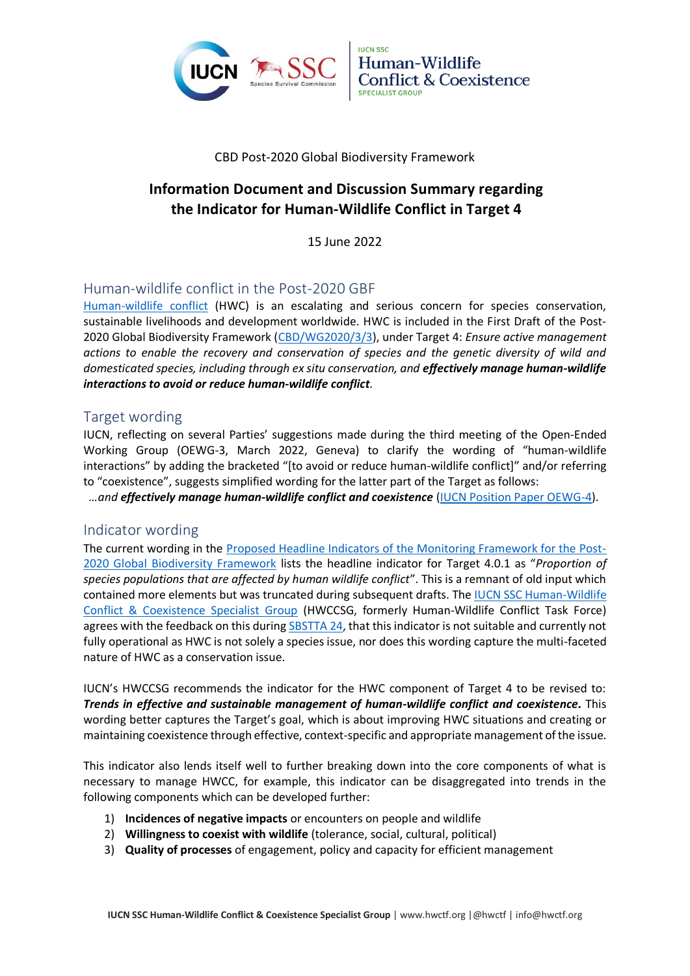



#### CBD Post-2020 Global Biodiversity Framework

# **Information Document and Discussion Summary regarding the Indicator for Human-Wildlife Conflict in Target 4**

15 June 2022

# Human-wildlife conflict in the Post-2020 GBF

[Human-wildlife conflict](http://www.hwctf.org/about) (HWC) is an escalating and serious concern for species conservation, sustainable livelihoods and development worldwide. HWC is included in the First Draft of the Post-2020 Global Biodiversity Framework [\(CBD/WG2020/3/3\)](https://www.cbd.int/doc/c/abb5/591f/2e46096d3f0330b08ce87a45/wg2020-03-03-en.pdf), under Target 4: *Ensure active management actions to enable the recovery and conservation of species and the genetic diversity of wild and domesticated species, including through ex situ conservation, and effectively manage human-wildlife interactions to avoid or reduce human-wildlife conflict.*

### Target wording

IUCN, reflecting on several Parties' suggestions made during the third meeting of the Open-Ended Working Group (OEWG-3, March 2022, Geneva) to clarify the wording of "human-wildlife interactions" by adding the bracketed "[to avoid or reduce human-wildlife conflict]" and/or referring to "coexistence", suggests simplified wording for the latter part of the Target as follows:

*…and effectively manage human-wildlife conflict and coexistence* [\(IUCN Position Paper OEWG-4\)](https://www.iucn.org/files/iucn-position-paper-oewg-4).

#### Indicator wording

The current wording in the [Proposed Headline Indicators of the Monitoring Framework for the Post-](https://www.cbd.int/doc/c/d716/da69/5e81c8e0faca1db1dd145a59/wg2020-03-03-add1-en.pdf)[2020 Global Biodiversity Framework](https://www.cbd.int/doc/c/d716/da69/5e81c8e0faca1db1dd145a59/wg2020-03-03-add1-en.pdf) lists the headline indicator for Target 4.0.1 as "*Proportion of species populations that are affected by human wildlife conflict*". This is a remnant of old input which contained more elements but was truncated during subsequent drafts. The [IUCN SSC Human-Wildlife](http://www.hwctf.org/)  [Conflict & Coexistence Specialist Group](http://www.hwctf.org/) (HWCCSG, formerly Human-Wildlife Conflict Task Force) agrees with the feedback on this during [SBSTTA 24,](https://www.cbd.int/doc/recommendations/sbstta-24/sbstta-24-rec-02-en.pdf) that this indicator is not suitable and currently not fully operational as HWC is not solely a species issue, nor does this wording capture the multi-faceted nature of HWC as a conservation issue.

IUCN's HWCCSG recommends the indicator for the HWC component of Target 4 to be revised to: *Trends in effective and sustainable management of human-wildlife conflict and coexistence.* This wording better captures the Target's goal, which is about improving HWC situations and creating or maintaining coexistence through effective, context-specific and appropriate management of the issue.

This indicator also lends itself well to further breaking down into the core components of what is necessary to manage HWCC, for example, this indicator can be disaggregated into trends in the following components which can be developed further:

- 1) **Incidences of negative impacts** or encounters on people and wildlife
- 2) **Willingness to coexist with wildlife** (tolerance, social, cultural, political)
- 3) **Quality of processes** of engagement, policy and capacity for efficient management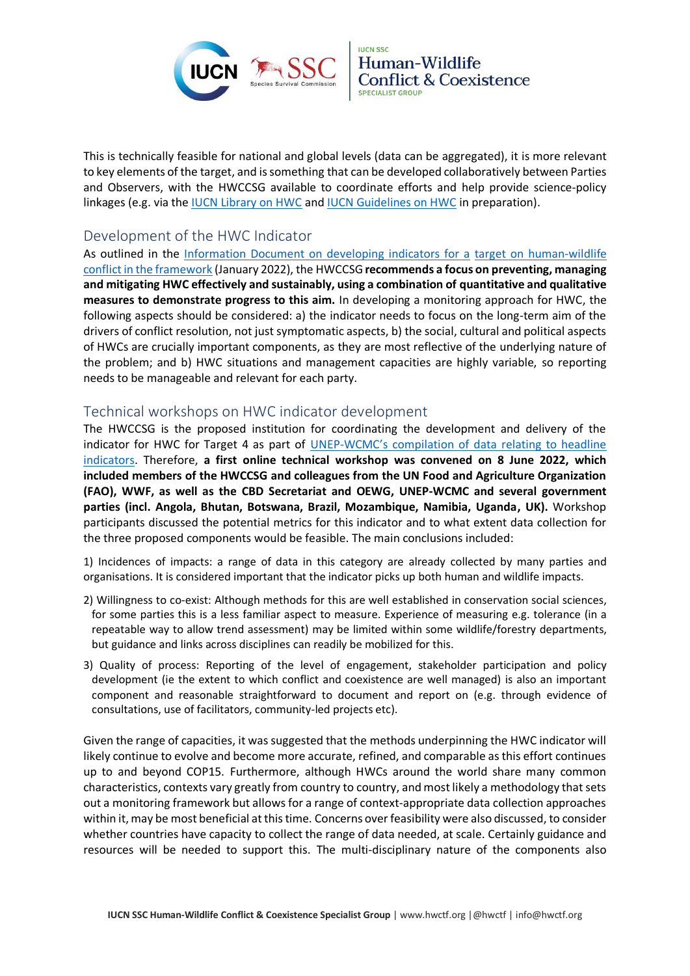



This is technically feasible for national and global levels (data can be aggregated), it is more relevant to key elements of the target, and is something that can be developed collaboratively between Parties and Observers, with the HWCCSG available to coordinate efforts and help provide science-policy linkages (e.g. via the [IUCN Library on HWC](https://www.hwctf.org/document-library) and [IUCN Guidelines on HWC](https://www.hwctf.org/guidelines) in preparation).

# Development of the HWC Indicator

As outlined in the [Information Document on developing indicators for a](https://www.hwctf.org/_files/ugd/7acc16_7379592635484b70bb7c7959afe39603.pdf) target on human-wildlife [conflict in the framework](https://www.hwctf.org/_files/ugd/7acc16_7379592635484b70bb7c7959afe39603.pdf) (January 2022), the HWCCSG**recommends a focus on preventing, managing and mitigating HWC effectively and sustainably, using a combination of quantitative and qualitative measures to demonstrate progress to this aim.** In developing a monitoring approach for HWC, the following aspects should be considered: a) the indicator needs to focus on the long-term aim of the drivers of conflict resolution, not just symptomatic aspects, b) the social, cultural and political aspects of HWCs are crucially important components, as they are most reflective of the underlying nature of the problem; and b) HWC situations and management capacities are highly variable, so reporting needs to be manageable and relevant for each party.

# Technical workshops on HWC indicator development

The HWCCSG is the proposed institution for coordinating the development and delivery of the indicator for HWC for Target 4 as part of UNEP-WCMC's compilation of [data relating to headline](https://www.post-2020indicators.org/pdfs/52?type=headline)  [indicators.](https://www.post-2020indicators.org/pdfs/52?type=headline) Therefore, **a first online technical workshop was convened on 8 June 2022, which included members of the HWCCSG and colleagues from the UN Food and Agriculture Organization (FAO), WWF, as well as the CBD Secretariat and OEWG, UNEP-WCMC and several government parties (incl. Angola, Bhutan, Botswana, Brazil, Mozambique, Namibia, Uganda, UK).** Workshop participants discussed the potential metrics for this indicator and to what extent data collection for the three proposed components would be feasible. The main conclusions included:

1) Incidences of impacts: a range of data in this category are already collected by many parties and organisations. It is considered important that the indicator picks up both human and wildlife impacts.

- 2) Willingness to co-exist: Although methods for this are well established in conservation social sciences, for some parties this is a less familiar aspect to measure. Experience of measuring e.g. tolerance (in a repeatable way to allow trend assessment) may be limited within some wildlife/forestry departments, but guidance and links across disciplines can readily be mobilized for this.
- 3) Quality of process: Reporting of the level of engagement, stakeholder participation and policy development (ie the extent to which conflict and coexistence are well managed) is also an important component and reasonable straightforward to document and report on (e.g. through evidence of consultations, use of facilitators, community-led projects etc).

Given the range of capacities, it was suggested that the methods underpinning the HWC indicator will likely continue to evolve and become more accurate, refined, and comparable as this effort continues up to and beyond COP15. Furthermore, although HWCs around the world share many common characteristics, contexts vary greatly from country to country, and most likely a methodology that sets out a monitoring framework but allows for a range of context-appropriate data collection approaches within it, may be most beneficial at this time. Concerns over feasibility were also discussed, to consider whether countries have capacity to collect the range of data needed, at scale. Certainly guidance and resources will be needed to support this. The multi-disciplinary nature of the components also